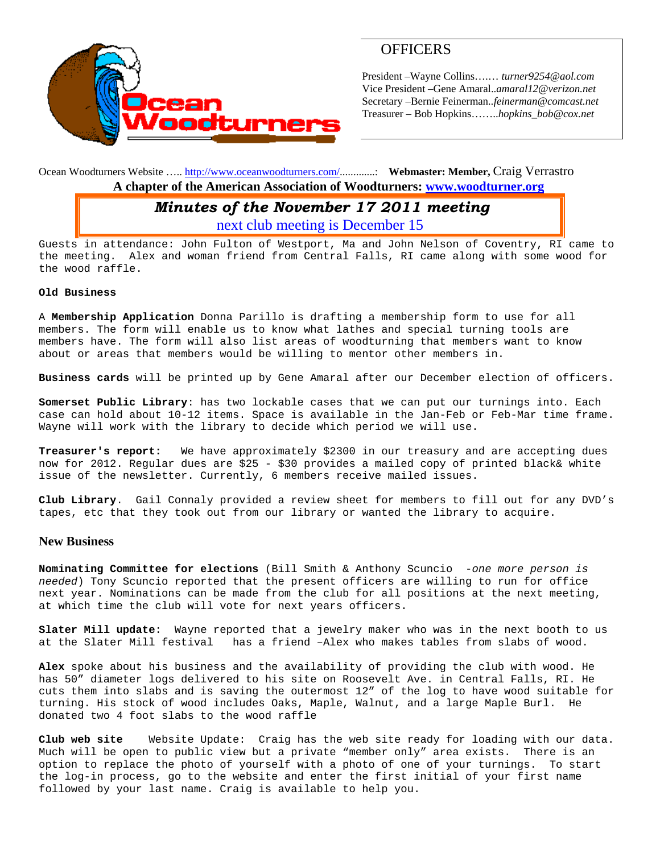

# **OFFICERS**

President –Wayne Collins….… *turner9254@aol.com*  Vice President –Gene Amaral..*amaral12@verizon.net* Secretary –Bernie Feinerman*..feinerman@comcast.net*  Treasurer – Bob Hopkins……..*hopkins\_bob@cox.net*

Ocean Woodturners Website ….. http://www.oceanwoodturners.com/.............: **Webmaster: Member,** Craig Verrastro **A chapter of the American Association of Woodturners: www.woodturner.org** 

# *Minutes of the November 17 2011 meeting*

next club meeting is December 15

Guests in attendance: John Fulton of Westport, Ma and John Nelson of Coventry, RI came to the meeting. Alex and woman friend from Central Falls, RI came along with some wood for the wood raffle.

#### **Old Business**

A **Membership Application** Donna Parillo is drafting a membership form to use for all members. The form will enable us to know what lathes and special turning tools are members have. The form will also list areas of woodturning that members want to know about or areas that members would be willing to mentor other members in.

**Business cards** will be printed up by Gene Amaral after our December election of officers.

**Somerset Public Library**: has two lockable cases that we can put our turnings into. Each case can hold about 10-12 items. Space is available in the Jan-Feb or Feb-Mar time frame. Wayne will work with the library to decide which period we will use.

**Treasurer's report:** We have approximately \$2300 in our treasury and are accepting dues now for 2012. Regular dues are \$25 - \$30 provides a mailed copy of printed black& white issue of the newsletter. Currently, 6 members receive mailed issues.

**Club Library**. Gail Connaly provided a review sheet for members to fill out for any DVD's tapes, etc that they took out from our library or wanted the library to acquire.

#### **New Business**

**Nominating Committee for elections** (Bill Smith & Anthony Scuncio -*one more person is needed*) Tony Scuncio reported that the present officers are willing to run for office next year. Nominations can be made from the club for all positions at the next meeting, at which time the club will vote for next years officers.

**Slater Mill update**: Wayne reported that a jewelry maker who was in the next booth to us at the Slater Mill festival has a friend –Alex who makes tables from slabs of wood.

**Alex** spoke about his business and the availability of providing the club with wood. He has 50" diameter logs delivered to his site on Roosevelt Ave. in Central Falls, RI. He cuts them into slabs and is saving the outermost 12" of the log to have wood suitable for turning. His stock of wood includes Oaks, Maple, Walnut, and a large Maple Burl. He donated two 4 foot slabs to the wood raffle

**Club web site** Website Update: Craig has the web site ready for loading with our data. Much will be open to public view but a private "member only" area exists. There is an option to replace the photo of yourself with a photo of one of your turnings. To start the log-in process, go to the website and enter the first initial of your first name followed by your last name. Craig is available to help you.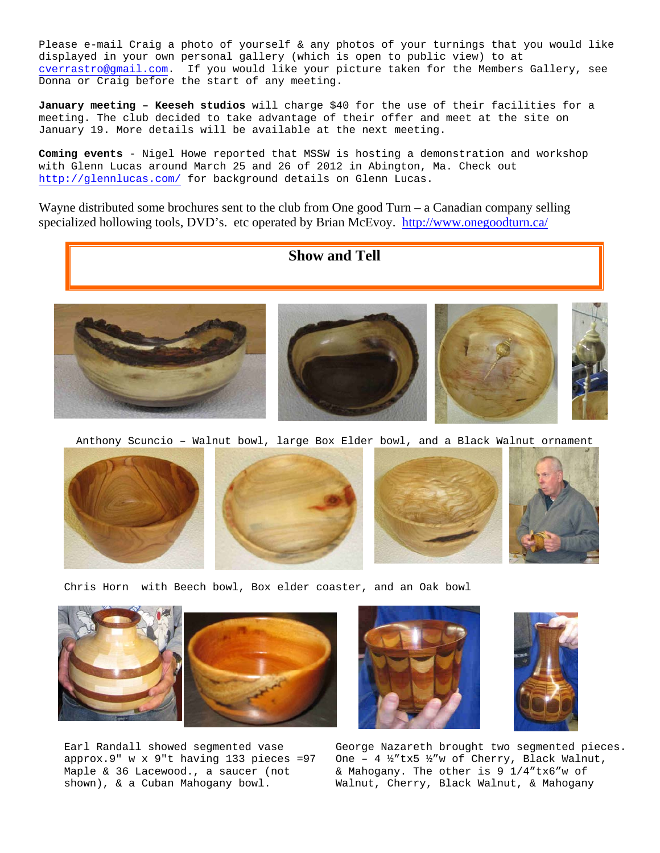Please e-mail Craig a photo of yourself & any photos of your turnings that you would like displayed in your own personal gallery (which is open to public view) to at cverrastro@gmail.com. If you would like your picture taken for the Members Gallery, see Donna or Craig before the start of any meeting.

**January meeting – Keeseh studios** will charge \$40 for the use of their facilities for a meeting. The club decided to take advantage of their offer and meet at the site on January 19. More details will be available at the next meeting.

**Coming events** - Nigel Howe reported that MSSW is hosting a demonstration and workshop with Glenn Lucas around March 25 and 26 of 2012 in Abington, Ma. Check out http://glennlucas.com/ for background details on Glenn Lucas.

Wayne distributed some brochures sent to the club from One good Turn – a Canadian company selling specialized hollowing tools, DVD's. etc operated by Brian McEvoy. http://www.onegoodturn.ca/



**Show and Tell**

Anthony Scuncio – Walnut bowl, large Box Elder bowl, and a Black Walnut ornament







Chris Horn with Beech bowl, Box elder coaster, and an Oak bowl



Earl Randall showed segmented vase approx.9" w x 9"t having 133 pieces =97 Maple & 36 Lacewood., a saucer (not shown), & a Cuban Mahogany bowl.





George Nazareth brought two segmented pieces. One – 4 ½"tx5 ½"w of Cherry, Black Walnut, & Mahogany. The other is 9 1/4"tx6"w of Walnut, Cherry, Black Walnut, & Mahogany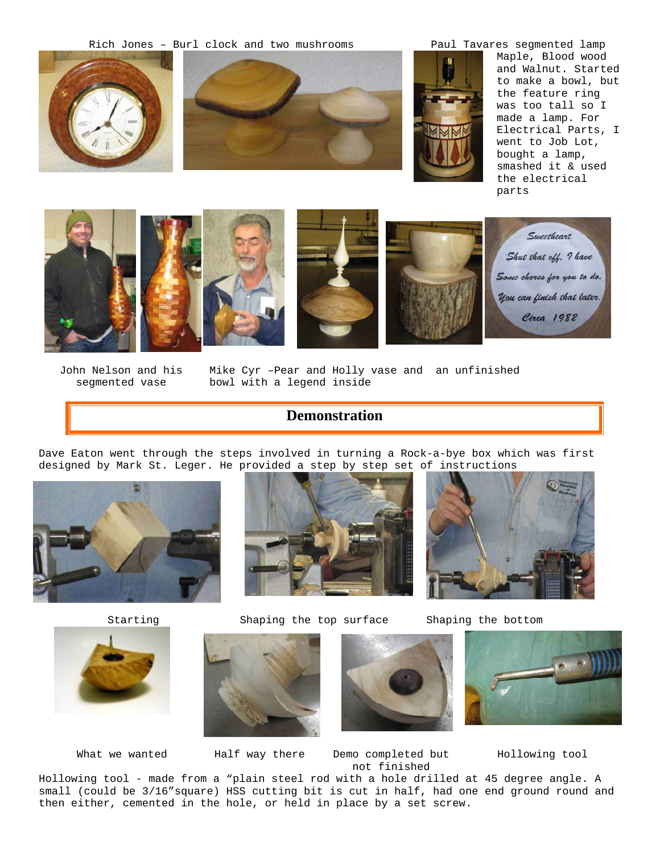Rich Jones – Burl clock and two mushrooms Paul Tavares segmented lamp







Maple, Blood wood and Walnut. Started to make a bowl, but the feature ring was too tall so I made a lamp. For Electrical Parts, I went to Job Lot, bought a lamp, smashed it & used the electrical parts







Sweetheart Shut that off. I have Some chores for you to do. You can finish that later. Circa 1982

John Nelson and his segmented vase

Mike Cyr –Pear and Holly vase and an unfinished bowl with a legend inside

# **Demonstration**

Dave Eaton went through the steps involved in turning a Rock-a-bye box which was first designed by Mark St. Leger. He provided a step by step set of instructions





Starting Shaping the top surface Shaping the bottom









What we wanted Half way there Demo completed but not finished

Hollowing tool

Hollowing tool - made from a "plain steel rod with a hole drilled at 45 degree angle. A small (could be 3/16"square) HSS cutting bit is cut in half, had one end ground round and then either, cemented in the hole, or held in place by a set screw.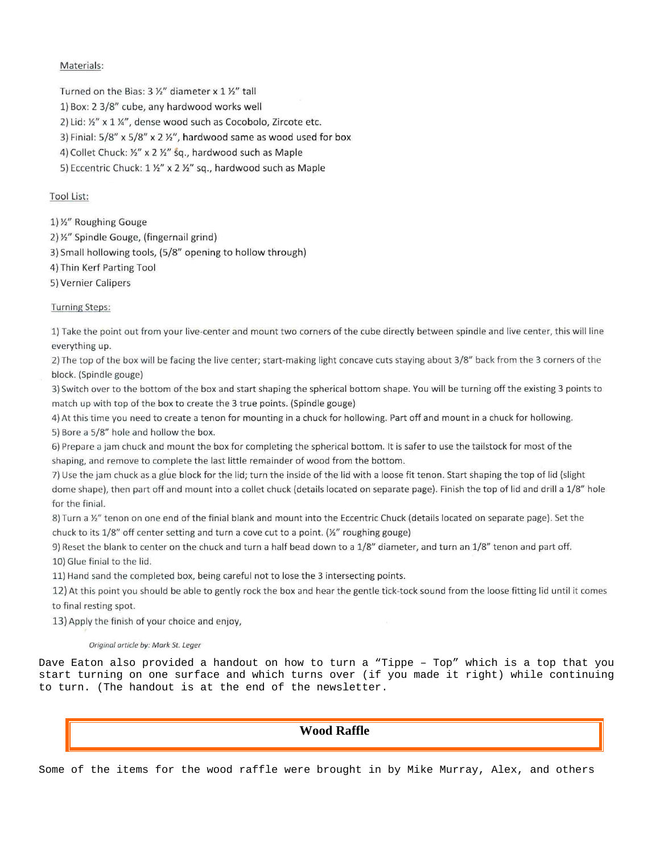## Materials:

Turned on the Bias: 3 %" diameter x 1 %" tall

- 1) Box: 2 3/8" cube, any hardwood works well
- 2) Lid: 1/2" x 1 1/4", dense wood such as Cocobolo, Zircote etc.
- 3) Finial: 5/8" x 5/8" x 2 1/2", hardwood same as wood used for box

4) Collet Chuck: 1/2" x 2 1/2" sq., hardwood such as Maple

5) Eccentric Chuck: 1 1/2" x 2 1/2" sq., hardwood such as Maple

## **Tool List:**

1) 1/2" Roughing Gouge

- 2) 1/2" Spindle Gouge, (fingernail grind)
- 3) Small hollowing tools, (5/8" opening to hollow through)
- 4) Thin Kerf Parting Tool
- 5) Vernier Calipers

## **Turning Steps:**

1) Take the point out from your live-center and mount two corners of the cube directly between spindle and live center, this will line everything up.

2) The top of the box will be facing the live center; start-making light concave cuts staying about 3/8" back from the 3 corners of the block. (Spindle gouge)

3) Switch over to the bottom of the box and start shaping the spherical bottom shape. You will be turning off the existing 3 points to match up with top of the box to create the 3 true points. (Spindle gouge)

4) At this time you need to create a tenon for mounting in a chuck for hollowing. Part off and mount in a chuck for hollowing. 5) Bore a 5/8" hole and hollow the box.

6) Prepare a jam chuck and mount the box for completing the spherical bottom. It is safer to use the tailstock for most of the shaping, and remove to complete the last little remainder of wood from the bottom.

7) Use the jam chuck as a glue block for the lid; turn the inside of the lid with a loose fit tenon. Start shaping the top of lid (slight dome shape), then part off and mount into a collet chuck (details located on separate page). Finish the top of lid and drill a 1/8" hole for the finial.

8) Turn a 1/2" tenon on one end of the finial blank and mount into the Eccentric Chuck (details located on separate page). Set the chuck to its 1/8" off center setting and turn a cove cut to a point. (1/2" roughing gouge)

9) Reset the blank to center on the chuck and turn a half bead down to a 1/8" diameter, and turn an 1/8" tenon and part off. 10) Glue finial to the lid.

11) Hand sand the completed box, being careful not to lose the 3 intersecting points.

12) At this point you should be able to gently rock the box and hear the gentle tick-tock sound from the loose fitting lid until it comes to final resting spot.

13) Apply the finish of your choice and enjoy,

#### Original article by: Mark St. Leger

Dave Eaton also provided a handout on how to turn a "Tippe - Top" which is a top that you start turning on one surface and which turns over (if you made it right) while continuing to turn. (The handout is at the end of the newsletter.

## **Wood Raffle**

Some of the items for the wood raffle were brought in by Mike Murray, Alex, and others